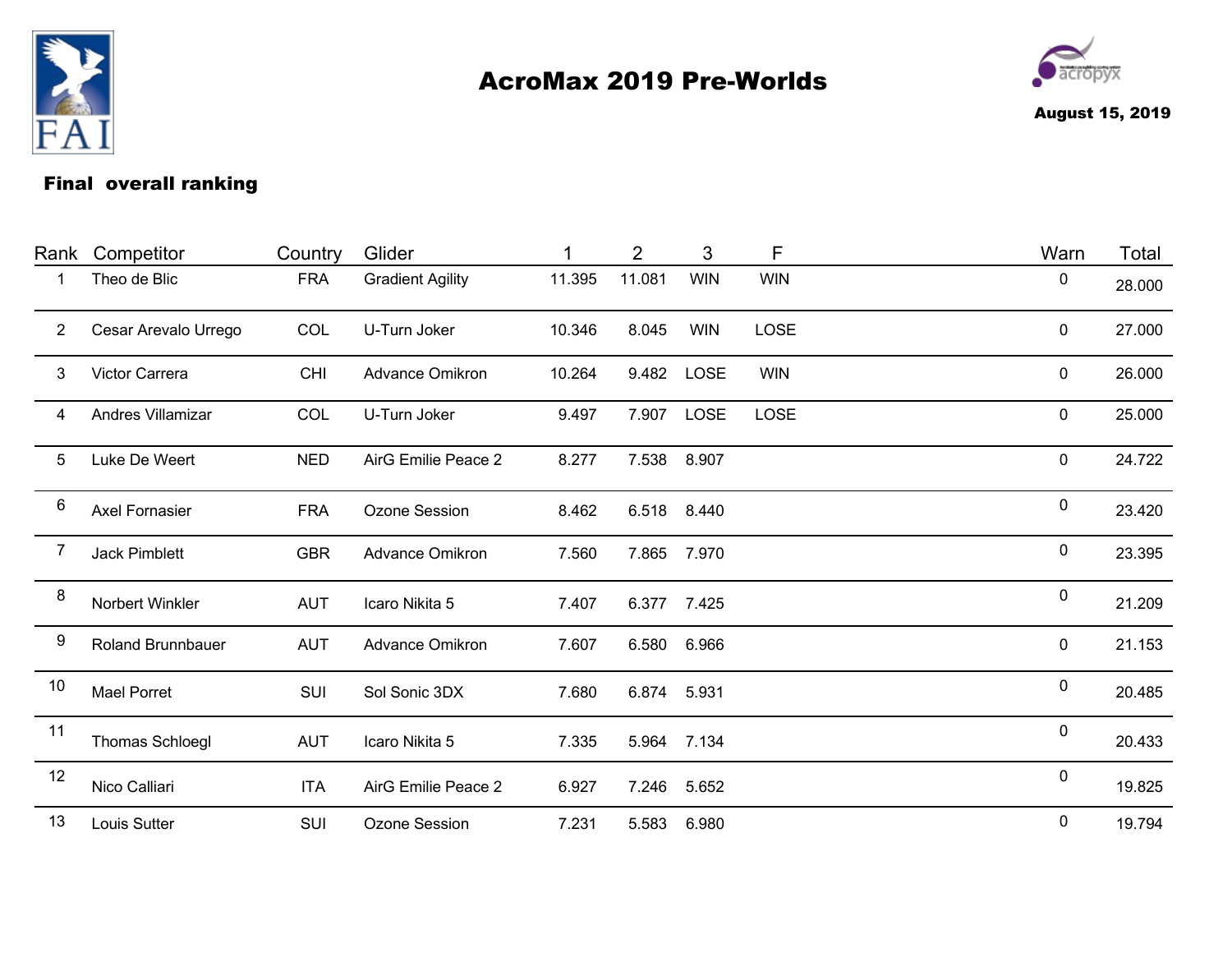

## AcroMax 2019 Pre-Worlds



August 15, 2019

## Final overall ranking

| Rank           | Competitor               | Country    | Glider                  |        | 2      | 3           | F           | Warn      | Total  |
|----------------|--------------------------|------------|-------------------------|--------|--------|-------------|-------------|-----------|--------|
|                | Theo de Blic             | <b>FRA</b> | <b>Gradient Agility</b> | 11.395 | 11.081 | <b>WIN</b>  | <b>WIN</b>  | $\pmb{0}$ | 28.000 |
| $\overline{2}$ | Cesar Arevalo Urrego     | COL        | U-Turn Joker            | 10.346 | 8.045  | <b>WIN</b>  | <b>LOSE</b> | 0         | 27.000 |
| 3              | Victor Carrera           | <b>CHI</b> | Advance Omikron         | 10.264 | 9.482  | <b>LOSE</b> | <b>WIN</b>  | 0         | 26.000 |
| 4              | Andres Villamizar        | COL        | U-Turn Joker            | 9.497  | 7.907  | <b>LOSE</b> | LOSE        | $\pmb{0}$ | 25.000 |
| 5              | Luke De Weert            | <b>NED</b> | AirG Emilie Peace 2     | 8.277  | 7.538  | 8.907       |             | 0         | 24.722 |
| 6              | <b>Axel Fornasier</b>    | <b>FRA</b> | Ozone Session           | 8.462  | 6.518  | 8.440       |             | 0         | 23.420 |
| 7              | <b>Jack Pimblett</b>     | <b>GBR</b> | Advance Omikron         | 7.560  | 7.865  | 7.970       |             | 0         | 23.395 |
| 8              | Norbert Winkler          | <b>AUT</b> | Icaro Nikita 5          | 7.407  | 6.377  | 7.425       |             | $\pmb{0}$ | 21.209 |
| 9              | <b>Roland Brunnbauer</b> | <b>AUT</b> | Advance Omikron         | 7.607  | 6.580  | 6.966       |             | $\pmb{0}$ | 21.153 |
| 10             | <b>Mael Porret</b>       | SUI        | Sol Sonic 3DX           | 7.680  | 6.874  | 5.931       |             | 0         | 20.485 |
| 11             | Thomas Schloegl          | <b>AUT</b> | Icaro Nikita 5          | 7.335  | 5.964  | 7.134       |             | $\pmb{0}$ | 20.433 |
| 12             | Nico Calliari            | <b>ITA</b> | AirG Emilie Peace 2     | 6.927  | 7.246  | 5.652       |             | $\pmb{0}$ | 19.825 |
| 13             | Louis Sutter             | SUI        | Ozone Session           | 7.231  | 5.583  | 6.980       |             | $\pmb{0}$ | 19.794 |